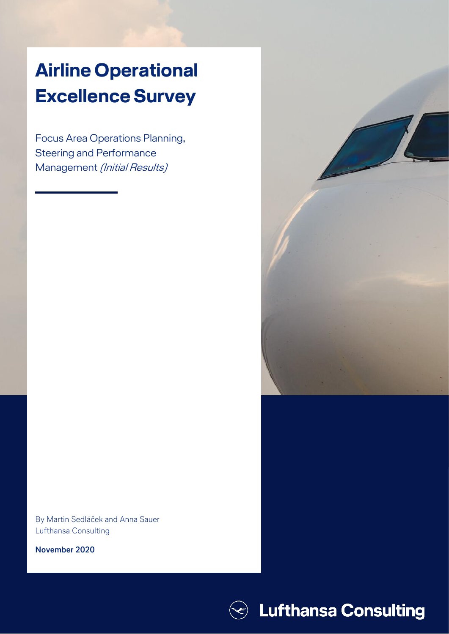# **Airline Operational Excellence Survey**

Focus Area Operations Planning, Steering and Performance Management (Initial Results)



**November 2020**



Airline Operational Excellence Survey **0**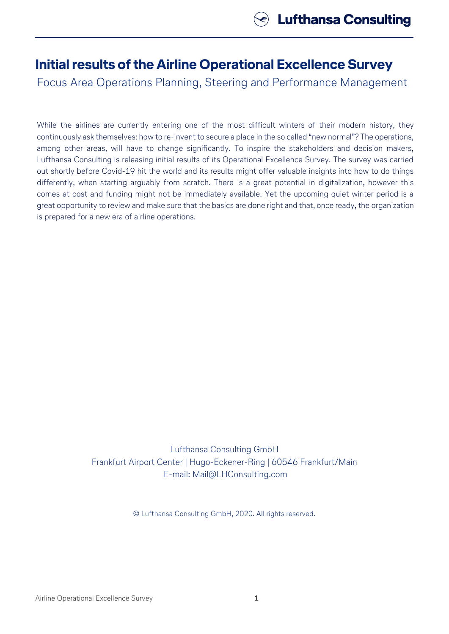## **Initial results of the Airline Operational Excellence Survey**

Focus Area Operations Planning, Steering and Performance Management

While the airlines are currently entering one of the most difficult winters of their modern history, they continuously ask themselves: how to re-invent to secure a place in the so called "new normal"? The operations, among other areas, will have to change significantly. To inspire the stakeholders and decision makers, Lufthansa Consulting is releasing initial results of its Operational Excellence Survey. The survey was carried out shortly before Covid-19 hit the world and its results might offer valuable insights into how to do things differently, when starting arguably from scratch. There is a great potential in digitalization, however this comes at cost and funding might not be immediately available. Yet the upcoming quiet winter period is a great opportunity to review and make sure that the basics are done right and that, once ready, the organization is prepared for a new era of airline operations.

> Lufthansa Consulting GmbH Frankfurt Airport Center | Hugo-Eckener-Ring | 60546 Frankfurt/Main E-mail: Mail@LHConsulting.com

> > © Lufthansa Consulting GmbH, 2020. All rights reserved.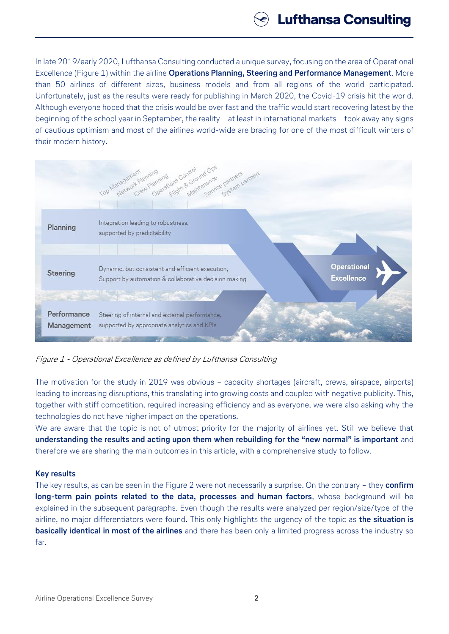In late 2019/early 2020, Lufthansa Consulting conducted a unique survey, focusing on the area of Operational Excellence (Figure 1) within the airline **Operations Planning, Steering and Performance Management**. More than 50 airlines of different sizes, business models and from all regions of the world participated. Unfortunately, just as the results were ready for publishing in March 2020, the Covid-19 crisis hit the world. Although everyone hoped that the crisis would be over fast and the traffic would start recovering latest by the beginning of the school year in September, the reality – at least in international markets – took away any signs of cautious optimism and most of the airlines world-wide are bracing for one of the most difficult winters of their modern history.



Figure 1 - Operational Excellence as defined by Lufthansa Consulting

The motivation for the study in 2019 was obvious – capacity shortages (aircraft, crews, airspace, airports) leading to increasing disruptions, this translating into growing costs and coupled with negative publicity. This, together with stiff competition, required increasing efficiency and as everyone, we were also asking why the technologies do not have higher impact on the operations.

We are aware that the topic is not of utmost priority for the majority of airlines yet. Still we believe that **understanding the results and acting upon them when rebuilding for the "new normal" is important** and therefore we are sharing the main outcomes in this article, with a comprehensive study to follow.

## **Key results**

The key results, as can be seen in the Figure 2 were not necessarily a surprise. On the contrary – they **confirm long-term pain points related to the data, processes and human factors**, whose background will be explained in the subsequent paragraphs. Even though the results were analyzed per region/size/type of the airline, no major differentiators were found. This only highlights the urgency of the topic as **the situation is basically identical in most of the airlines** and there has been only a limited progress across the industry so far.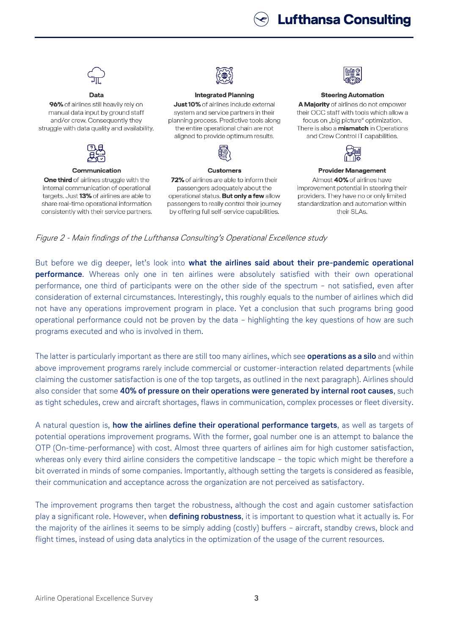## **Lufthansa Consulting**



96% of airlines still heavily rely on manual data input by ground staff and/or crew. Consequently they struggle with data quality and availability.



#### Communication

One third of airlines struggle with the internal communication of operational targets. Just 13% of airlines are able to share real-time operational information consistently with their service partners.



#### **Integrated Planning**

Just 10% of airlines include external system and service partners in their planning process. Predictive tools along the entire operational chain are not aligned to provide optimum results.



#### **Customers**

72% of airlines are able to inform their passengers adequately about the operational status. But only a few allow passengers to really control their journey by offering full self-service capabilities.



### **Steering Automation**

A Majority of airlines do not empower their OCC staff with tools which allow a focus on "big picture" optimization. There is also a **mismatch** in Operations and Crew Control IT capabilities.



#### **Provider Management**

Almost 40% of airlines have improvement potential in steering their providers. They have no or only limited standardization and automation within their SLAs.

Figure 2 - Main findings of the Lufthansa Consulting's Operational Excellence study

But before we dig deeper, let's look into **what the airlines said about their pre-pandemic operational performance**. Whereas only one in ten airlines were absolutely satisfied with their own operational performance, one third of participants were on the other side of the spectrum – not satisfied, even after consideration of external circumstances. Interestingly, this roughly equals to the number of airlines which did not have any operations improvement program in place. Yet a conclusion that such programs bring good operational performance could not be proven by the data – highlighting the key questions of how are such programs executed and who is involved in them.

The latter is particularly important as there are still too many airlines, which see **operations as a silo** and within above improvement programs rarely include commercial or customer-interaction related departments (while claiming the customer satisfaction is one of the top targets, as outlined in the next paragraph). Airlines should also consider that some **40% of pressure on their operations were generated by internal root causes**, such as tight schedules, crew and aircraft shortages, flaws in communication, complex processes or fleet diversity.

A natural question is, **how the airlines define their operational performance targets**, as well as targets of potential operations improvement programs. With the former, goal number one is an attempt to balance the OTP (On-time-performance) with cost. Almost three quarters of airlines aim for high customer satisfaction, whereas only every third airline considers the competitive landscape - the topic which might be therefore a bit overrated in minds of some companies. Importantly, although setting the targets is considered as feasible, their communication and acceptance across the organization are not perceived as satisfactory.

The improvement programs then target the robustness, although the cost and again customer satisfaction play a significant role. However, when **defining robustness**, it is important to question what it actually is. For the majority of the airlines it seems to be simply adding (costly) buffers – aircraft, standby crews, block and flight times, instead of using data analytics in the optimization of the usage of the current resources.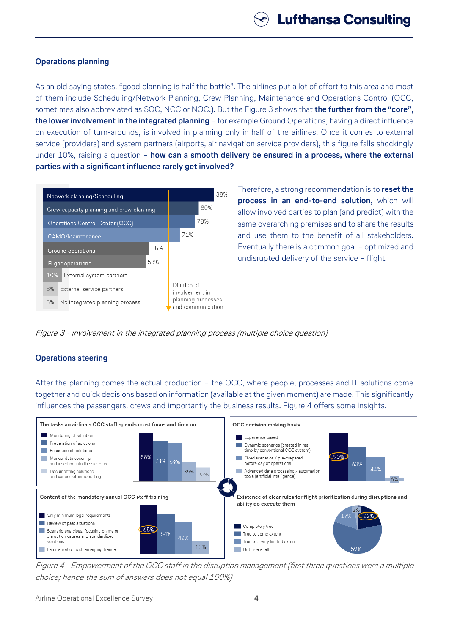## **Operations planning**

As an old saying states, "good planning is half the battle". The airlines put a lot of effort to this area and most of them include Scheduling/Network Planning, Crew Planning, Maintenance and Operations Control (OCC, sometimes also abbreviated as SOC, NCC or NOC.). But the Figure 3 shows that **the further from the "core", the lower involvement in the integrated planning** – for example Ground Operations, having a direct influence on execution of turn-arounds, is involved in planning only in half of the airlines. Once it comes to external service (providers) and system partners (airports, air navigation service providers), this figure falls shockingly under 10%, raising a question – **how can a smooth delivery be ensured in a process, where the external parties with a significant influence rarely get involved?**



Therefore, a strong recommendation is to **reset the process in an end-to-end solution**, which will allow involved parties to plan (and predict) with the same overarching premises and to share the results and use them to the benefit of all stakeholders. Eventually there is a common goal – optimized and undisrupted delivery of the service – flight.

Figure 3 - involvement in the integrated planning process (multiple choice question)

## **Operations steering**

After the planning comes the actual production – the OCC, where people, processes and IT solutions come together and quick decisions based on information (available at the given moment) are made. This significantly influences the passengers, crews and importantly the business results. Figure 4 offers some insights.



Figure 4 - Empowerment of the OCC staff in the disruption management (first three questions were a multiple choice; hence the sum of answers does not equal 100%)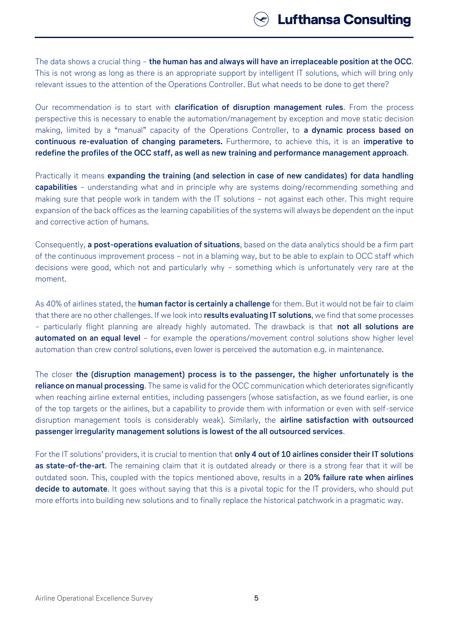The data shows a crucial thing – **the human has and always will have an irreplaceable position at the OCC**. This is not wrong as long as there is an appropriate support by intelligent IT solutions, which will bring only relevant issues to the attention of the Operations Controller. But what needs to be done to get there?

Our recommendation is to start with **clarification of disruption management rules**. From the process perspective this is necessary to enable the automation/management by exception and move static decision making, limited by a "manual" capacity of the Operations Controller, to **a dynamic process based on continuous re-evaluation of changing parameters.** Furthermore, to achieve this, it is an **imperative to redefine the profiles of the OCC staff, as well as new training and performance management approach**.

Practically it means **expanding the training (and selection in case of new candidates) for data handling capabilities** – understanding what and in principle why are systems doing/recommending something and making sure that people work in tandem with the IT solutions – not against each other. This might require expansion of the back offices as the learning capabilities of the systems will always be dependent on the input and corrective action of humans.

Consequently, **a post-operations evaluation of situations**, based on the data analytics should be a firm part of the continuous improvement process – not in a blaming way, but to be able to explain to OCC staff which decisions were good, which not and particularly why – something which is unfortunately very rare at the moment.

As 40% of airlines stated, the **human factor is certainly a challenge** for them. But it would not be fair to claim that there are no other challenges. If we look into **results evaluating IT solutions**, we find that some processes – particularly flight planning are already highly automated. The drawback is that **not all solutions are automated on an equal level** – for example the operations/movement control solutions show higher level automation than crew control solutions, even lower is perceived the automation e.g. in maintenance.

The closer **the (disruption management) process is to the passenger, the higher unfortunately is the reliance on manual processing**. The same is valid for the OCC communication which deteriorates significantly when reaching airline external entities, including passengers (whose satisfaction, as we found earlier, is one of the top targets or the airlines, but a capability to provide them with information or even with self-service disruption management tools is considerably weak). Similarly, the **airline satisfaction with outsourced passenger irregularity management solutions is lowest of the all outsourced services**.

For the IT solutions' providers, it is crucial to mention that **only 4 out of 10 airlines consider their IT solutions as state-of-the-art**. The remaining claim that it is outdated already or there is a strong fear that it will be outdated soon. This, coupled with the topics mentioned above, results in a **20% failure rate when airlines decide to automate**. It goes without saying that this is a pivotal topic for the IT providers, who should put more efforts into building new solutions and to finally replace the historical patchwork in a pragmatic way.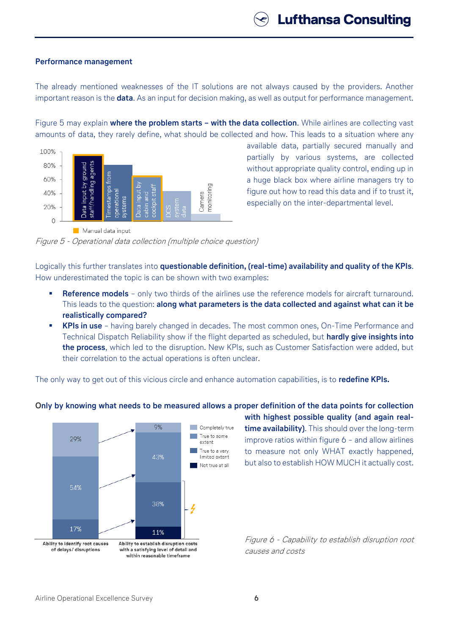### **Performance management**

The already mentioned weaknesses of the IT solutions are not always caused by the providers. Another important reason is the **data**. As an input for decision making, as well as output for performance management.

Figure 5 may explain **where the problem starts – with the data collection**. While airlines are collecting vast amounts of data, they rarely define, what should be collected and how. This leads to a situation where any



available data, partially secured manually and partially by various systems, are collected without appropriate quality control, ending up in a huge black box where airline managers try to figure out how to read this data and if to trust it, especially on the inter-departmental level.

Figure 5 - Operational data collection (multiple choice question)

Logically this further translates into **questionable definition, (real-time) availability and quality of the KPIs**. How underestimated the topic is can be shown with two examples:

- **Reference models** only two thirds of the airlines use the reference models for aircraft turnaround. This leads to the question: **along what parameters is the data collected and against what can it be realistically compared?**
- **KPIs in use** having barely changed in decades. The most common ones, On-Time Performance and Technical Dispatch Reliability show if the flight departed as scheduled, but **hardly give insights into the process**, which led to the disruption. New KPIs, such as Customer Satisfaction were added, but their correlation to the actual operations is often unclear.

The only way to get out of this vicious circle and enhance automation capabilities, is to **redefine KPIs.**



**Only by knowing what needs to be measured allows a proper definition of the data points for collection**

**with highest possible quality (and again realtime availability)**. This should over the long-term improve ratios within figure 6 – and allow airlines to measure not only WHAT exactly happened, but also to establish HOW MUCH it actually cost.

Figure 6 - Capability to establish disruption root causes and costs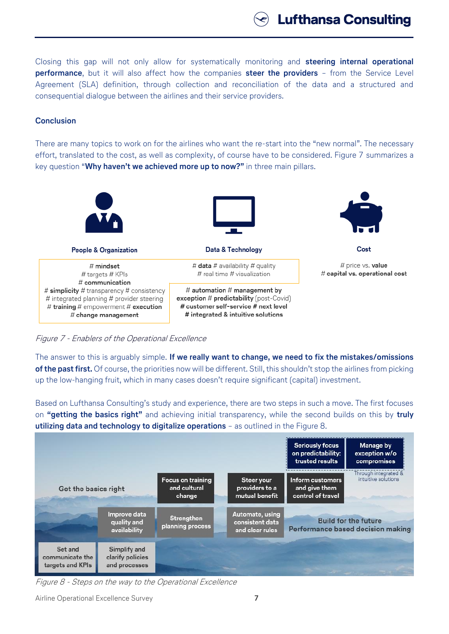**Lufthansa Consulting** 

Closing this gap will not only allow for systematically monitoring and **steering internal operational performance**, but it will also affect how the companies **steer the providers** – from the Service Level Agreement (SLA) definition, through collection and reconciliation of the data and a structured and consequential dialogue between the airlines and their service providers.

## **Conclusion**

There are many topics to work on for the airlines who want the re-start into the "new normal". The necessary effort, translated to the cost, as well as complexity, of course have to be considered. Figure 7 summarizes a key question "**Why haven't we achieved more up to now?"** in three main pillars.



Figure 7 - Enablers of the Operational Excellence

The answer to this is arguably simple. **If we really want to change, we need to fix the mistakes/omissions of the past first.** Of course, the priorities now will be different. Still, this shouldn't stop the airlines from picking up the low-hanging fruit, which in many cases doesn't require significant (capital) investment.

Based on Lufthansa Consulting's study and experience, there are two steps in such a move. The first focuses on **"getting the basics right"** and achieving initial transparency, while the second builds on this by **truly utilizing data and technology to digitalize operations** – as outlined in the Figure 8.



Figure 8 - Steps on the way to the Operational Excellence

Airline Operational Excellence Survey **7**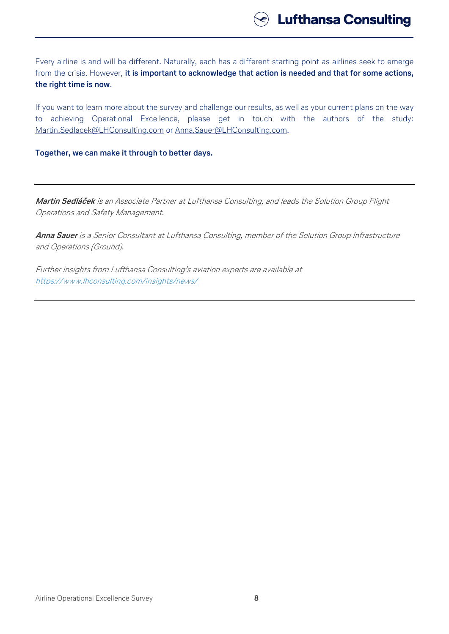Every airline is and will be different. Naturally, each has a different starting point as airlines seek to emerge from the crisis. However, **it is important to acknowledge that action is needed and that for some actions, the right time is now**.

If you want to learn more about the survey and challenge our results, as well as your current plans on the way to achieving Operational Excellence, please get in touch with the authors of the study: [Martin.Sedlacek@LHConsulting.com](mailto:Martin.Sedlacek@LHConsulting.com) or [Anna.Sauer@LHConsulting.com.](mailto:Anna.Sauer@LHConsulting.com)

**Together, we can make it through to better days.**

**Martin Sedláček** is an Associate Partner at Lufthansa Consulting, and leads the Solution Group Flight Operations and Safety Management.

**Anna Sauer** is a Senior Consultant at Lufthansa Consulting, member of the Solution Group Infrastructure and Operations (Ground).

Further insights from Lufthansa Consulting's aviation experts are available at <https://www.lhconsulting.com/insights/news/>